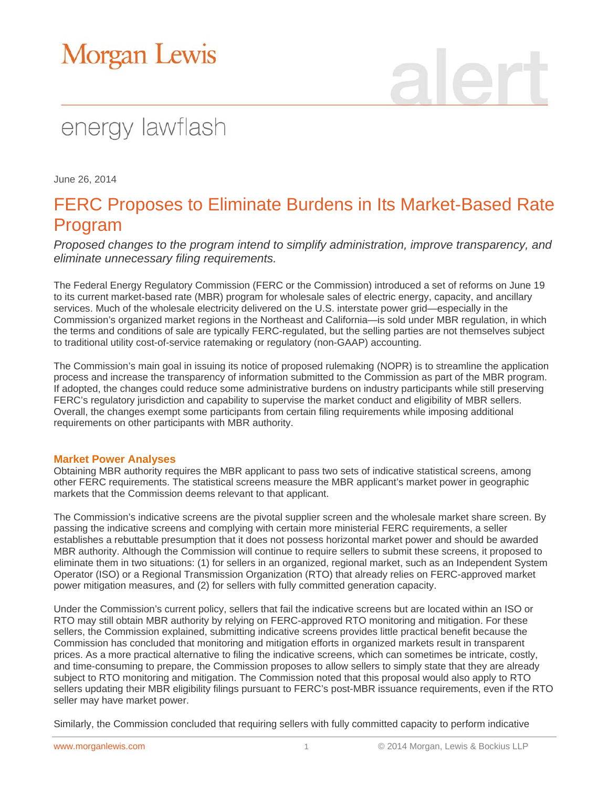# Morgan Lewis

## energy lawflash

June 26, 2014

### FERC Proposes to Eliminate Burdens in Its Market-Based Rate Program

*Proposed changes to the program intend to simplify administration, improve transparency, and eliminate unnecessary filing requirements.*

The Federal Energy Regulatory Commission (FERC or the Commission) introduced a set of reforms on June 19 to its current market-based rate (MBR) program for wholesale sales of electric energy, capacity, and ancillary services. Much of the wholesale electricity delivered on the U.S. interstate power grid—especially in the Commission's organized market regions in the Northeast and California—is sold under MBR regulation, in which the terms and conditions of sale are typically FERC-regulated, but the selling parties are not themselves subject to traditional utility cost-of-service ratemaking or regulatory (non-GAAP) accounting.

The Commission's main goal in issuing its notice of proposed rulemaking (NOPR) is to streamline the application process and increase the transparency of information submitted to the Commission as part of the MBR program. If adopted, the changes could reduce some administrative burdens on industry participants while still preserving FERC's regulatory jurisdiction and capability to supervise the market conduct and eligibility of MBR sellers. Overall, the changes exempt some participants from certain filing requirements while imposing additional requirements on other participants with MBR authority.

#### **Market Power Analyses**

Obtaining MBR authority requires the MBR applicant to pass two sets of indicative statistical screens, among other FERC requirements. The statistical screens measure the MBR applicant's market power in geographic markets that the Commission deems relevant to that applicant.

The Commission's indicative screens are the pivotal supplier screen and the wholesale market share screen. By passing the indicative screens and complying with certain more ministerial FERC requirements, a seller establishes a rebuttable presumption that it does not possess horizontal market power and should be awarded MBR authority. Although the Commission will continue to require sellers to submit these screens, it proposed to eliminate them in two situations: (1) for sellers in an organized, regional market, such as an Independent System Operator (ISO) or a Regional Transmission Organization (RTO) that already relies on FERC-approved market power mitigation measures, and (2) for sellers with fully committed generation capacity.

Under the Commission's current policy, sellers that fail the indicative screens but are located within an ISO or RTO may still obtain MBR authority by relying on FERC-approved RTO monitoring and mitigation. For these sellers, the Commission explained, submitting indicative screens provides little practical benefit because the Commission has concluded that monitoring and mitigation efforts in organized markets result in transparent prices. As a more practical alternative to filing the indicative screens, which can sometimes be intricate, costly, and time-consuming to prepare, the Commission proposes to allow sellers to simply state that they are already subject to RTO monitoring and mitigation. The Commission noted that this proposal would also apply to RTO sellers updating their MBR eligibility filings pursuant to FERC's post-MBR issuance requirements, even if the RTO seller may have market power.

Similarly, the Commission concluded that requiring sellers with fully committed capacity to perform indicative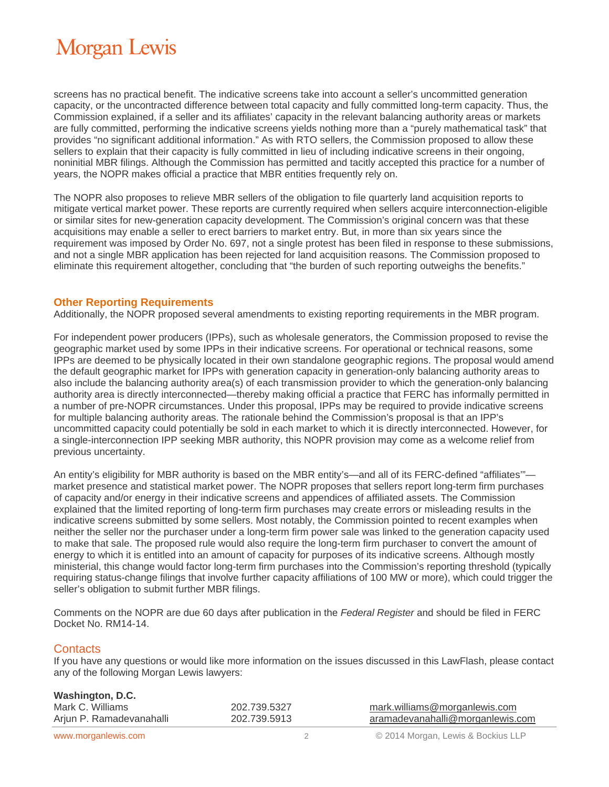## **Morgan Lewis**

screens has no practical benefit. The indicative screens take into account a seller's uncommitted generation capacity, or the uncontracted difference between total capacity and fully committed long-term capacity. Thus, the Commission explained, if a seller and its affiliates' capacity in the relevant balancing authority areas or markets are fully committed, performing the indicative screens yields nothing more than a "purely mathematical task" that provides "no significant additional information." As with RTO sellers, the Commission proposed to allow these sellers to explain that their capacity is fully committed in lieu of including indicative screens in their ongoing, noninitial MBR filings. Although the Commission has permitted and tacitly accepted this practice for a number of years, the NOPR makes official a practice that MBR entities frequently rely on.

The NOPR also proposes to relieve MBR sellers of the obligation to file quarterly land acquisition reports to mitigate vertical market power. These reports are currently required when sellers acquire interconnection-eligible or similar sites for new-generation capacity development. The Commission's original concern was that these acquisitions may enable a seller to erect barriers to market entry. But, in more than six years since the requirement was imposed by Order No. 697, not a single protest has been filed in response to these submissions, and not a single MBR application has been rejected for land acquisition reasons. The Commission proposed to eliminate this requirement altogether, concluding that "the burden of such reporting outweighs the benefits."

#### **Other Reporting Requirements**

Additionally, the NOPR proposed several amendments to existing reporting requirements in the MBR program.

For independent power producers (IPPs), such as wholesale generators, the Commission proposed to revise the geographic market used by some IPPs in their indicative screens. For operational or technical reasons, some IPPs are deemed to be physically located in their own standalone geographic regions. The proposal would amend the default geographic market for IPPs with generation capacity in generation-only balancing authority areas to also include the balancing authority area(s) of each transmission provider to which the generation-only balancing authority area is directly interconnected—thereby making official a practice that FERC has informally permitted in a number of pre-NOPR circumstances. Under this proposal, IPPs may be required to provide indicative screens for multiple balancing authority areas. The rationale behind the Commission's proposal is that an IPP's uncommitted capacity could potentially be sold in each market to which it is directly interconnected. However, for a single-interconnection IPP seeking MBR authority, this NOPR provision may come as a welcome relief from previous uncertainty.

An entity's eligibility for MBR authority is based on the MBR entity's—and all of its FERC-defined "affiliates" market presence and statistical market power. The NOPR proposes that sellers report long-term firm purchases of capacity and/or energy in their indicative screens and appendices of affiliated assets. The Commission explained that the limited reporting of long-term firm purchases may create errors or misleading results in the indicative screens submitted by some sellers. Most notably, the Commission pointed to recent examples when neither the seller nor the purchaser under a long-term firm power sale was linked to the generation capacity used to make that sale. The proposed rule would also require the long-term firm purchaser to convert the amount of energy to which it is entitled into an amount of capacity for purposes of its indicative screens. Although mostly ministerial, this change would factor long-term firm purchases into the Commission's reporting threshold (typically requiring status-change filings that involve further capacity affiliations of 100 MW or more), which could trigger the seller's obligation to submit further MBR filings.

Comments on the NOPR are due 60 days after publication in the *Federal Register* and should be filed in FERC Docket No. RM14-14.

### **Contacts**

If you have any questions or would like more information on the issues discussed in this LawFlash, please contact any of the following Morgan Lewis lawyers:

| Washington, D.C.         |              |                                  |
|--------------------------|--------------|----------------------------------|
| Mark C. Williams         | 202.739.5327 | mark.williams@morganlewis.com    |
| Arjun P. Ramadevanahalli | 202.739.5913 | aramadevanahalli@morganlewis.com |
|                          |              |                                  |